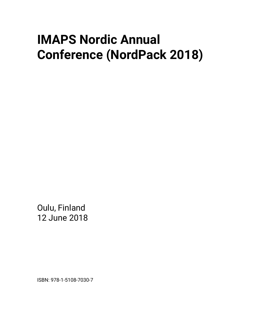# **IMAPS Nordic Annual Conference (NordPack 2018)**

Oulu, Finland 12 June 2018

ISBN: 978-1-5108-7030-7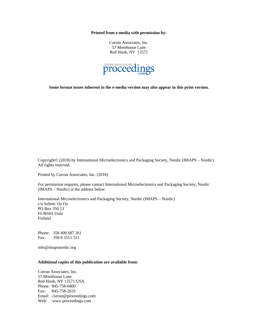**Printed from e-media with permission by:** 

Curran Associates, Inc. 57 Morehouse Lane Red Hook, NY 12571



**Some format issues inherent in the e-media version may also appear in this print version.** 

Copyright© (2018) by International Microelectronics and Packaging Society, Nordic (IMAPS – Nordic) All rights reserved.

Printed by Curran Associates, Inc. (2018)

For permission requests, please contact International Microelectronics and Packaging Society, Nordic (IMAPS – Nordic) at the address below.

International Microelectronics and Packaging Society, Nordic (IMAPS – Nordic) c/o Selmic Oy Oy PO Box 350 13 FI-90501 Oulu Finland

Phone: 358 400 687 261 Fax: 358 8 5511 511

info@imapsnordic.org

#### **Additional copies of this publication are available from:**

Curran Associates, Inc. 57 Morehouse Lane Red Hook, NY 12571 USA Phone: 845-758-0400 Fax: 845-758-2633 Email: curran@proceedings.com Web: www.proceedings.com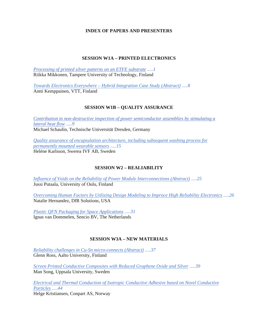### **INDEX OF PAPERS AND PRESENTERS**

#### **SESSION W1A – PRINTED ELECTRONICS**

*Processing of printed silver patterns on an ETFE substrate .....1* Riikka Mikkonen, Tampere University of Technology, Finland

*Towards Electronics Everywhere – Hybrid Integration Case Study (Abstract) .....8* Antti Kemppainen, VTT, Finland

#### **SESSION W1B – QUALITY ASSURANCE**

*Contribution to non-destructive inspection of power semiconductor assemblies by stimulating a lateral heat flow .....9* Michael Schaulin, Technische Universität Dresden, Germany

*Quality assurance of encapsulation architecture, including subsequent washing process for permanently mounted wearable sensors .....15* Heléne Karlsson, Swerea IVF AB, Sweden

### **SESSION W2 – REALIABILITY**

*Influence of Voids on the Reliability of Power Module Interconnections (Abstract) .....25* Jussi Putaala, University of Oulu, Finland

*Overcoming Human Factors by Utilizing Design Modeling to Improce High Reliability Electronics .....26* Natalie Hernandez, DfR Solutions, USA

*Plastic QFN Packaging for Space Applications .....31* Ignas van Dommelen, Sencio BV, The Netherlands

### **SESSION W3A – NEW MATERIALS**

*Reliability challenges in Cu-Sn micro-connects (Abstract) .....37* Glenn Ross, Aalto University, Finland

*Screen Printed Conductive Composites with Reduced Graphene Oxide and Silver .....39* Man Song, Uppsala University, Sweden

*Electrical and Thermal Conduction of Isotropic Conductive Adhesive based on Novel Conductive Particles .....44* Helge Kristiansen, Conpart AS, Norway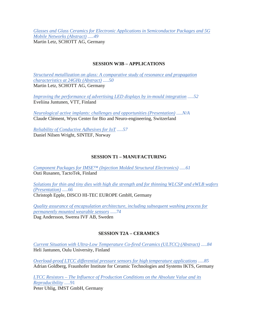*Glasses and Glass Ceramics for Electronic Applications in Semiconductor Packages and 5G Mobile Networks (Abstract) .....49* Martin Letz, SCHOTT AG, Germany

### **SESSION W3B – APPLICATIONS**

*Structured metallization on glass: A comparative study of resonance and propagation characteristics at 24GHz (Abstract) .....50* Martin Letz, SCHOTT AG, Germany

*Improving the performance of advertising LED displays by in-mould integration .....52* Eveliina Juntunen, VTT, Finland

*Neurological active implants: challenges and opportunities (Presentation) .....N/A* Claude Clément, Wyss Center for Bio and Neuro-engineering, Switzerland

*Reliability of Conductive Adhesives for IoT .....57* Daniel Nilsen Wright, SINTEF, Norway

# **SESSION T1 – MANUFACTURING**

*Component Packages for IMSE™ (Injection Molded Structural Electronics) .....61* Outi Rusanen, TactoTek, Finland

*Solutions for thin and tiny dies with high die strength and for thinning WLCSP and eWLB wafers (Presentation) .....66* Christoph Epple, DISCO HI-TEC EUROPE GmbH, Germany

*Quality assurance of encapsulation architecture, including subsequent washing process for permanently mounted wearable sensors .....74* Dag Andersson, Swerea IVF AB, Sweden

### **SESSION T2A – CERAMICS**

*Current Situation with Ultra-Low Temperature Co-fired Ceramics (ULTCC) (Abstract) .....84* Heli Jantunen, Oulu University, Finland

*Overload-proof LTCC differential pressure sensors for high temperature applications .....85* Adrian Goldberg, Fraunhofer Institute for Ceramic Technologies and Systems IKTS, Germany

*LTCC Resistors – The Influence of Production Conditions on the Absolute Value and its Reproducibility* .....91 Peter Uhlig, IMST GmbH, Germany